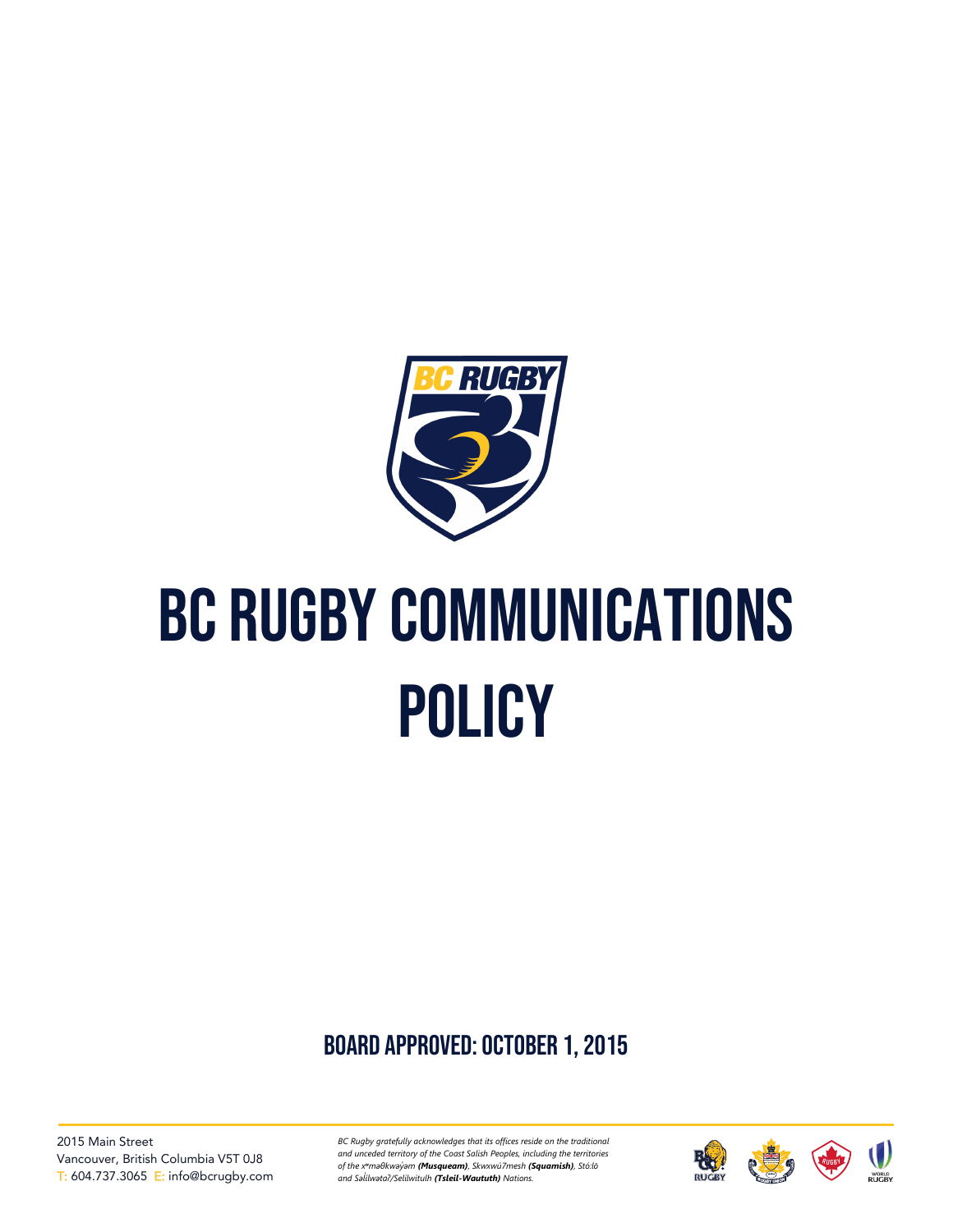

# BC RUGBY COMMUNICATIONS **POLICY**

board approved: October 1, 2015

2015 Main Street Vancouver, British Columbia V5T 0J8 T: 604.737.3065 E: info@bcrugby.com *BC Rugby gratefully acknowledges that its offices reside on the traditional and unceded territory of the Coast Salish Peoples, including the territories of the xʷməθkwəy̓əm (Musqueam), Skwxwú7mesh (Squamish), Stó:lō and Səl̓ ílwətaʔ/Selilwitulh (Tsleil-Waututh) Nations.*

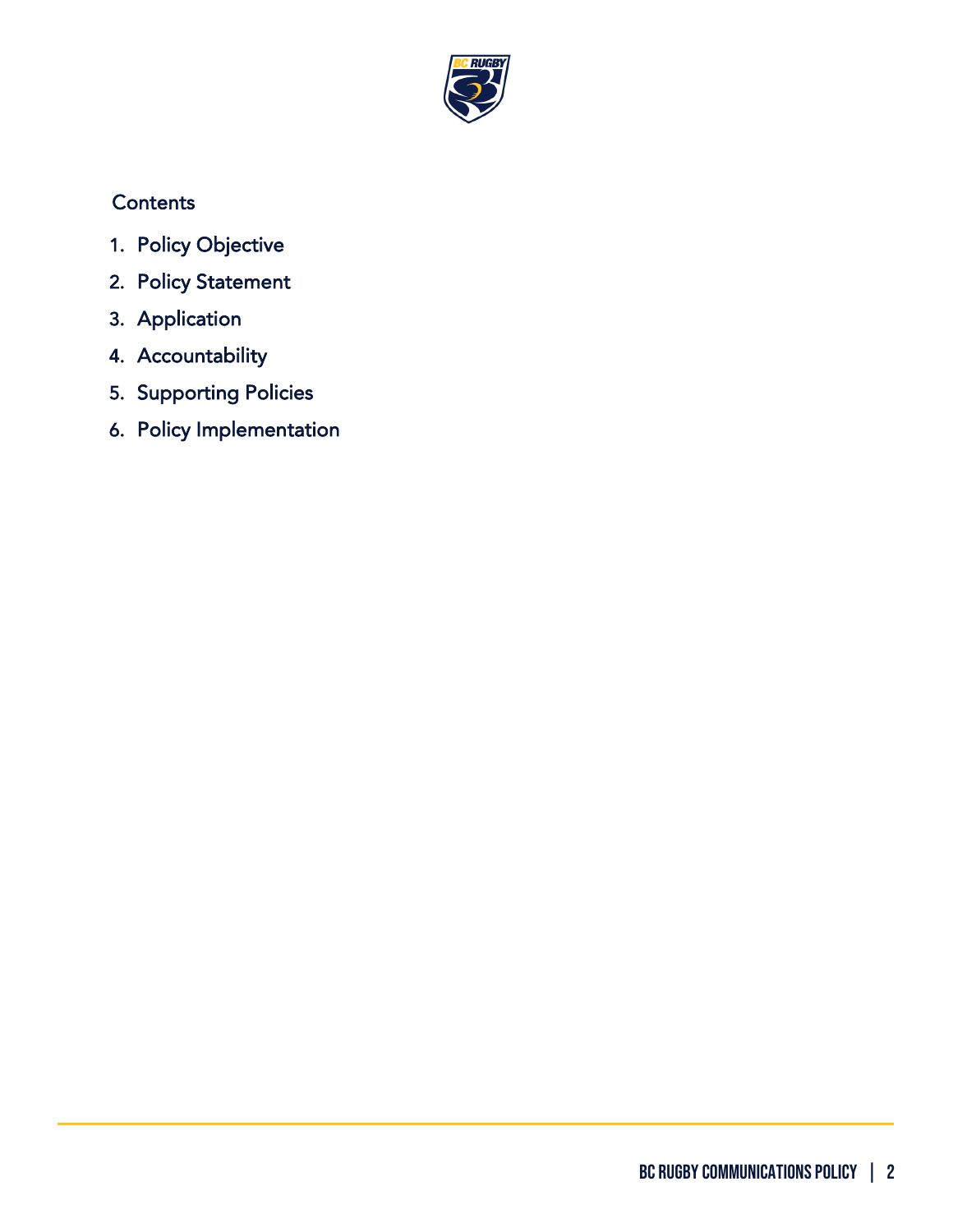

## **Contents**

- 1. [Policy Objective](#page-2-0)
- 2. [Policy Statement](#page-2-1)
- 3. [Application](#page-2-2)
- 4. [Accountability](#page-3-0)
- 5. [Supporting Policies](#page-3-1)
- 6. [Policy Implementation](#page-3-2)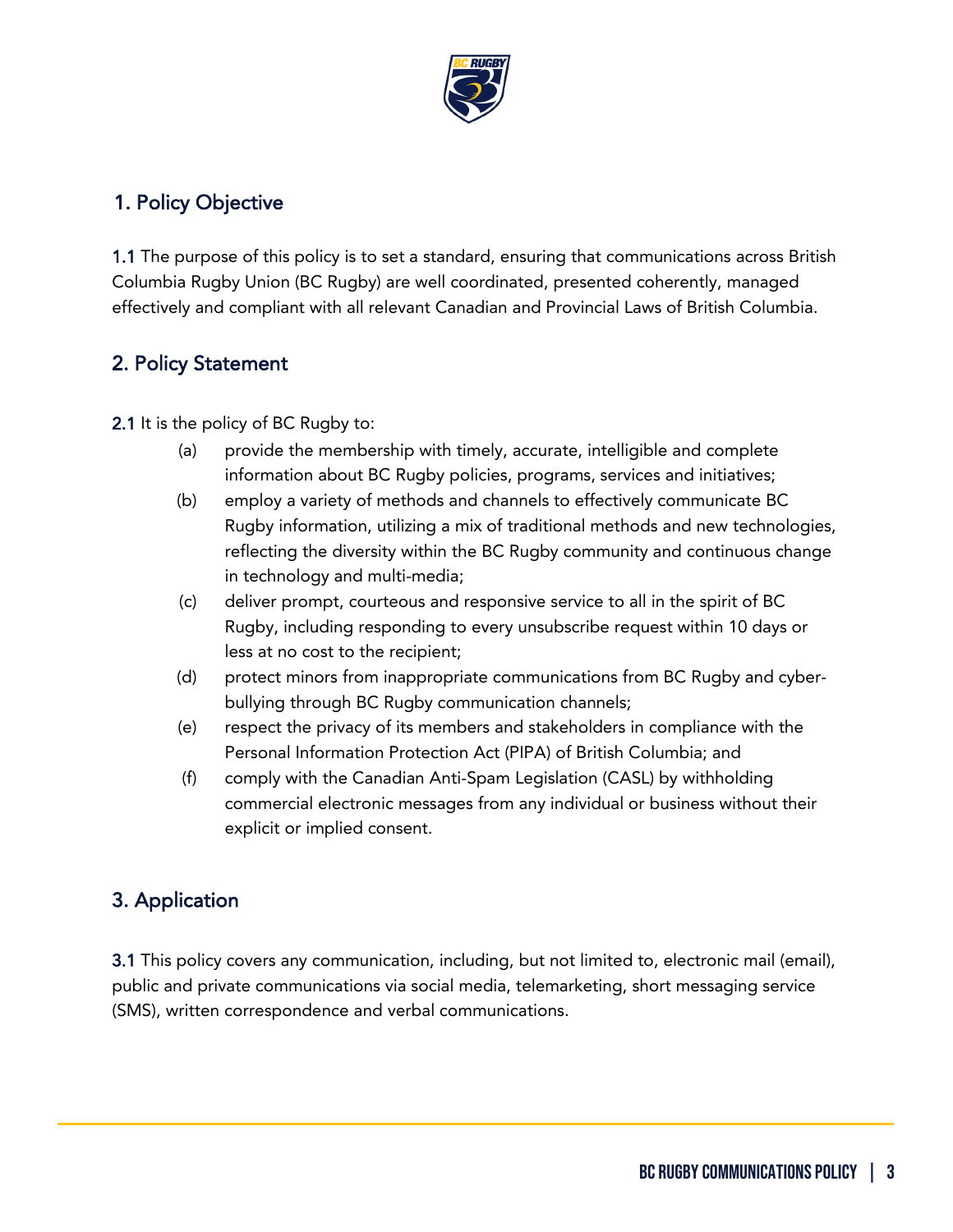

#### <span id="page-2-0"></span>1. Policy Objective

1.1 The purpose of this policy is to set a standard, ensuring that communications across British Columbia Rugby Union (BC Rugby) are well coordinated, presented coherently, managed effectively and compliant with all relevant Canadian and Provincial Laws of British Columbia.

#### <span id="page-2-1"></span>2. Policy Statement

2.1 It is the policy of BC Rugby to:

- (a) provide the membership with timely, accurate, intelligible and complete information about BC Rugby policies, programs, services and initiatives;
- (b) employ a variety of methods and channels to effectively communicate BC Rugby information, utilizing a mix of traditional methods and new technologies, reflecting the diversity within the BC Rugby community and continuous change in technology and multi-media;
- (c) deliver prompt, courteous and responsive service to all in the spirit of BC Rugby, including responding to every unsubscribe request within 10 days or less at no cost to the recipient;
- (d) protect minors from inappropriate communications from BC Rugby and cyberbullying through BC Rugby communication channels;
- (e) respect the privacy of its members and stakeholders in compliance with the Personal Information Protection Act (PIPA) of British Columbia; and
- (f) comply with the Canadian Anti-Spam Legislation (CASL) by withholding commercial electronic messages from any individual or business without their explicit or implied consent.

## <span id="page-2-2"></span>3. Application

3.1 This policy covers any communication, including, but not limited to, electronic mail (email), public and private communications via social media, telemarketing, short messaging service (SMS), written correspondence and verbal communications.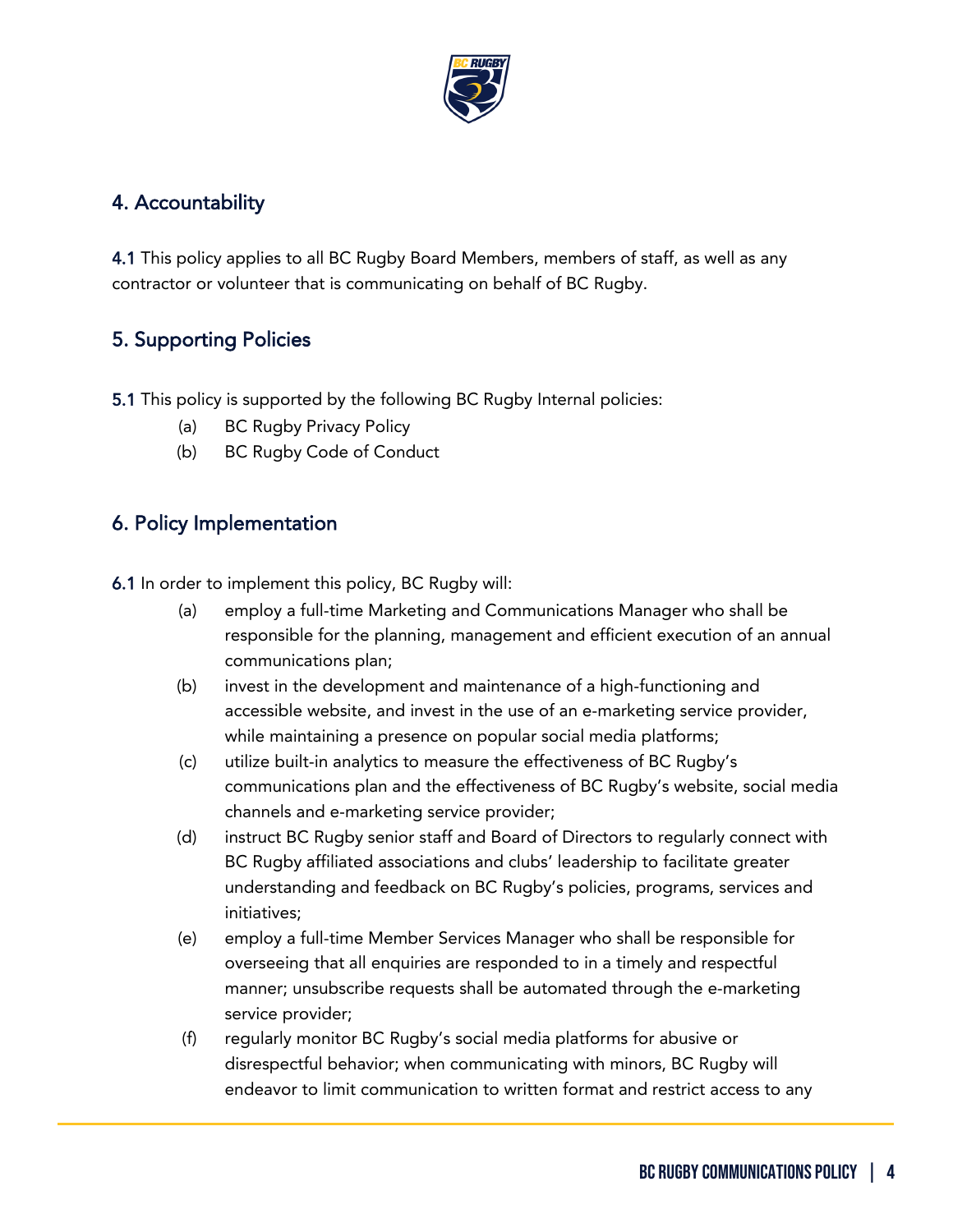

### <span id="page-3-0"></span>4. Accountability

4.1 This policy applies to all BC Rugby Board Members, members of staff, as well as any contractor or volunteer that is communicating on behalf of BC Rugby.

## <span id="page-3-1"></span>5. Supporting Policies

5.1 This policy is supported by the following BC Rugby Internal policies:

- (a) BC Rugby Privacy Policy
- (b) BC Rugby Code of Conduct

#### <span id="page-3-2"></span>6. Policy Implementation

6.1 In order to implement this policy, BC Rugby will:

- (a) employ a full-time Marketing and Communications Manager who shall be responsible for the planning, management and efficient execution of an annual communications plan;
- (b) invest in the development and maintenance of a high-functioning and accessible website, and invest in the use of an e-marketing service provider, while maintaining a presence on popular social media platforms;
- (c) utilize built-in analytics to measure the effectiveness of BC Rugby's communications plan and the effectiveness of BC Rugby's website, social media channels and e-marketing service provider;
- (d) instruct BC Rugby senior staff and Board of Directors to regularly connect with BC Rugby affiliated associations and clubs' leadership to facilitate greater understanding and feedback on BC Rugby's policies, programs, services and initiatives;
- (e) employ a full-time Member Services Manager who shall be responsible for overseeing that all enquiries are responded to in a timely and respectful manner; unsubscribe requests shall be automated through the e-marketing service provider;
- (f) regularly monitor BC Rugby's social media platforms for abusive or disrespectful behavior; when communicating with minors, BC Rugby will endeavor to limit communication to written format and restrict access to any